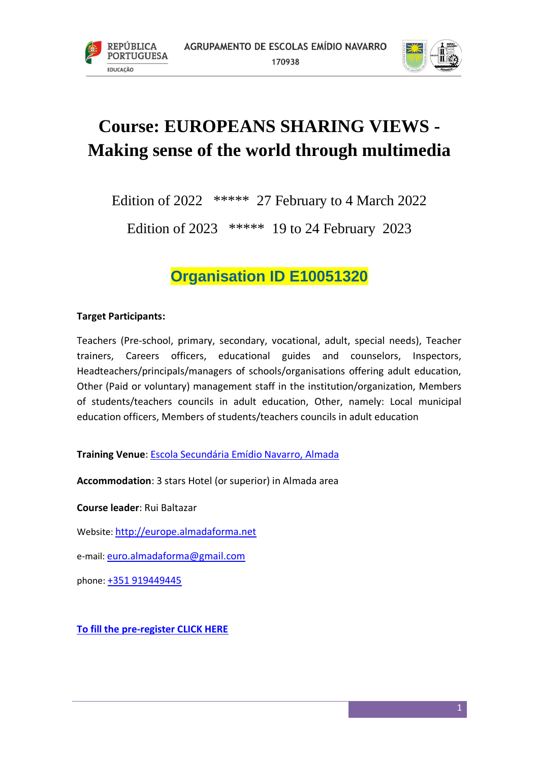



# **Course: EUROPEANS SHARING VIEWS - Making sense of the world through multimedia**

Edition of 2022 \*\*\*\*\* 27 February to 4 March 2022

Edition of 2023 \*\*\*\*\* 19 to 24 February 2023

# **Organisation ID E10051320**

# **Target Participants:**

Teachers (Pre-school, primary, secondary, vocational, adult, special needs), Teacher trainers, Careers officers, educational guides and counselors, Inspectors, Headteachers/principals/managers of schools/organisations offering adult education, Other (Paid or voluntary) management staff in the institution/organization, Members of students/teachers councils in adult education, Other, namely: Local municipal education officers, Members of students/teachers councils in adult education

**Training Venue**: [Escola Secundária Emídio Navarro, Almada](http://www.aeen.pt/)

**Accommodation**: 3 stars Hotel (or superior) in Almada area

**Course leader**: Rui Baltazar

Website: [http://europe.almadaforma.net](http://europe.almadaforma.net/)

e-mail: [euro.almadaforma@gmail.com](mailto:euro.almadaforma@gmail.com)

phone: [+351 919449445](tel:%2B351%20212%2094%2065%2008)

**[To fill the pre-register CLICK HERE](https://docs.google.com/forms/d/e/1FAIpQLSdgYohEJaVv6fmS-GkTUgIQDpzFRQUNF9fGBDJlvxy6lWUJQg/viewform)**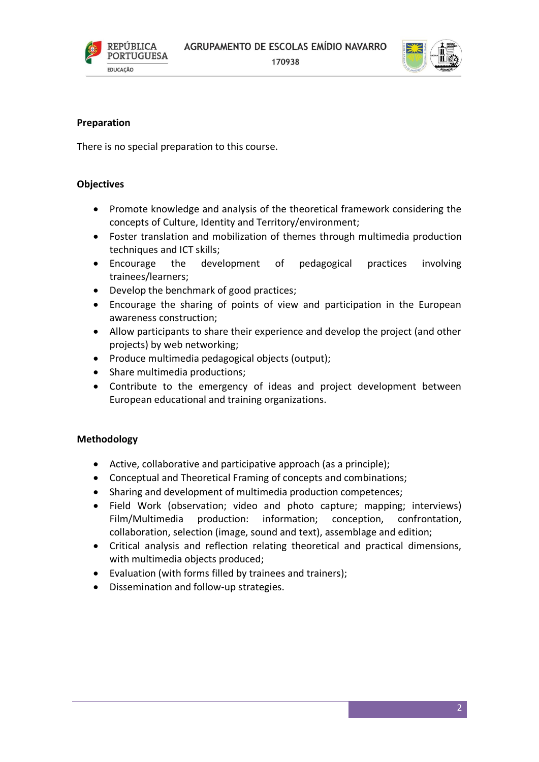

170938



## **Preparation**

There is no special preparation to this course.

## **Objectives**

- Promote knowledge and analysis of the theoretical framework considering the concepts of Culture, Identity and Territory/environment;
- Foster translation and mobilization of themes through multimedia production techniques and ICT skills;
- Encourage the development of pedagogical practices involving trainees/learners;
- Develop the benchmark of good practices;
- Encourage the sharing of points of view and participation in the European awareness construction;
- Allow participants to share their experience and develop the project (and other projects) by web networking;
- Produce multimedia pedagogical objects (output);
- Share multimedia productions;
- Contribute to the emergency of ideas and project development between European educational and training organizations.

# **Methodology**

- Active, collaborative and participative approach (as a principle);
- Conceptual and Theoretical Framing of concepts and combinations;
- Sharing and development of multimedia production competences;
- Field Work (observation; video and photo capture; mapping; interviews) Film/Multimedia production: information; conception, confrontation, collaboration, selection (image, sound and text), assemblage and edition;
- Critical analysis and reflection relating theoretical and practical dimensions, with multimedia objects produced;
- Evaluation (with forms filled by trainees and trainers);
- Dissemination and follow-up strategies.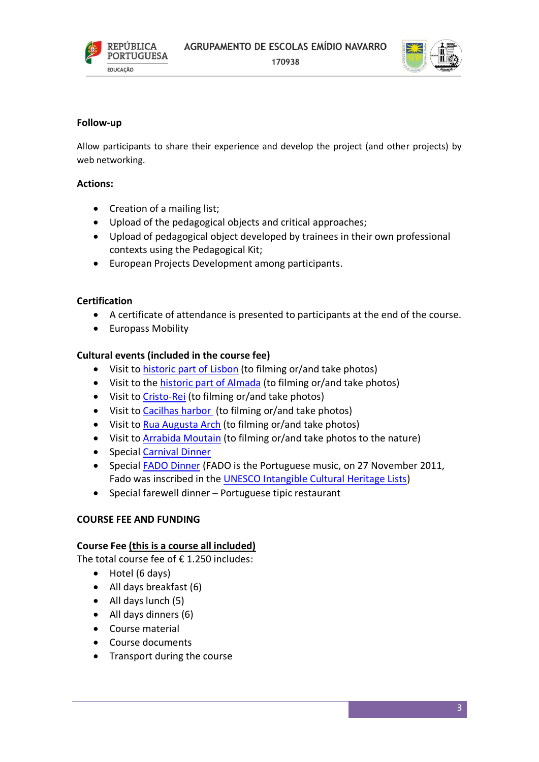

170938



#### **Follow-up**

Allow participants to share their experience and develop the project (and other projects) by web networking.

#### **Actions:**

- Creation of a mailing list;
- Upload of the pedagogical objects and critical approaches;
- Upload of pedagogical object developed by trainees in their own professional contexts using the Pedagogical Kit;
- European Projects Development among participants.

#### **Certification**

- A certificate of attendance is presented to participants at the end of the course.
- Europass Mobility

#### **Cultural events (included in the course fee)**

- Visit to [historic part of Lisbon](http://en.wikipedia.org/wiki/Bel%C3%A9m_%28Lisbon%29) (to filming or/and take photos)
- Visit to the [historic part of Almada](http://en.wikipedia.org/wiki/Almada) (to filming or/and take photos)
- Visit to [Cristo-Rei](http://en.wikipedia.org/wiki/Christ_the_King_%28Lisbon%29) (to filming or/and take photos)
- Visit to [Cacilhas harbor](https://www.google.pt/search?q=cacilhas&biw=1366&bih=609&source=lnms&tbm=isch&sa=X&ei=RgjWVOHuEdHZaqzFgeAN&ved=0CAcQ_AUoAg#tbm=isch&q=cacilhas+rio) (to filming or/and take photos)
- Visit to [Rua Augusta](http://en.wikipedia.org/wiki/Rua_Augusta_Arch) Arch (to filming or/and take photos)
- Visit to [Arrabida Moutain](http://en.wikipedia.org/wiki/Arr%C3%A1bida_Natural_Park) (to filming or/and take photos to the nature)
- Special [Carnival Dinner](http://en.wikipedia.org/wiki/Carnival#Portugal)
- Special [FADO Dinner](http://en.wikipedia.org/wiki/Fado) (FADO is the Portuguese music, on 27 November 2011, Fado was inscribed in the [UNESCO Intangible Cultural Heritage Lists\)](http://en.wikipedia.org/wiki/UNESCO_Intangible_Cultural_Heritage_Lists)
- Special farewell dinner Portuguese tipic restaurant

#### **COURSE FEE AND FUNDING**

#### **Course Fee (this is a course all included)**

The total course fee of  $\epsilon$  1.250 includes:

- Hotel (6 days)
- All days breakfast (6)
- All days lunch (5)
- All days dinners (6)
- Course material
- Course documents
- Transport during the course